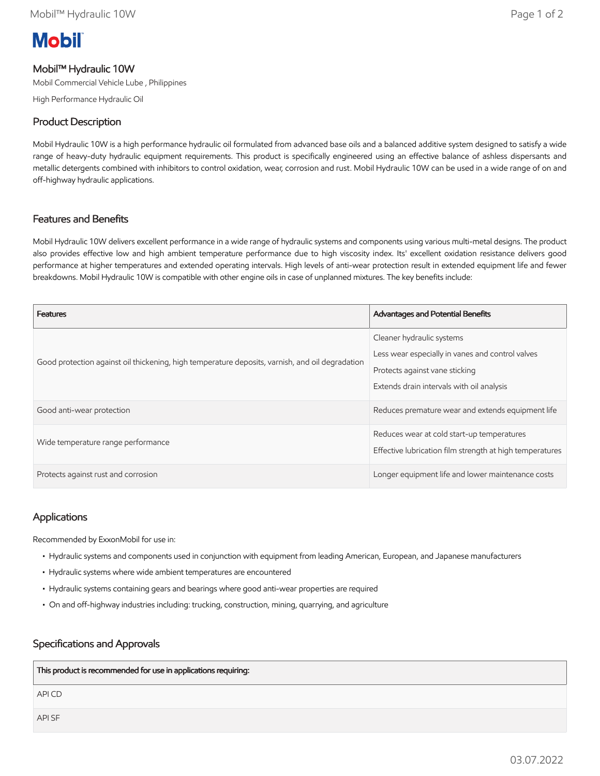# **Mobil**

# Mobil™ Hydraulic 10W

Mobil Commercial Vehicle Lube , Philippines

High Performance Hydraulic Oil

### Product Description

Mobil Hydraulic 10W is a high performance hydraulic oil formulated from advanced base oils and a balanced additive system designed to satisfy a wide range of heavy-duty hydraulic equipment requirements. This product is specifically engineered using an effective balance of ashless dispersants and metallic detergents combined with inhibitors to control oxidation, wear, corrosion and rust. Mobil Hydraulic 10W can be used in a wide range of on and off-highway hydraulic applications.

# Features and Benefits

Mobil Hydraulic 10W delivers excellent performance in a wide range of hydraulic systems and components using various multi-metal designs. The product also provides effective low and high ambient temperature performance due to high viscosity index. Its' excellent oxidation resistance delivers good performance at higher temperatures and extended operating intervals. High levels of anti-wear protection result in extended equipment life and fewer breakdowns. Mobil Hydraulic 10W is compatible with other engine oils in case of unplanned mixtures. The key benefits include:

| <b>Features</b>                                                                                 | <b>Advantages and Potential Benefits</b>                                                                                                                     |
|-------------------------------------------------------------------------------------------------|--------------------------------------------------------------------------------------------------------------------------------------------------------------|
| Good protection against oil thickening, high temperature deposits, varnish, and oil degradation | Cleaner hydraulic systems<br>Less wear especially in vanes and control valves<br>Protects against vane sticking<br>Extends drain intervals with oil analysis |
| Good anti-wear protection                                                                       | Reduces premature wear and extends equipment life                                                                                                            |
| Wide temperature range performance                                                              | Reduces wear at cold start-up temperatures<br>Effective lubrication film strength at high temperatures                                                       |
| Protects against rust and corrosion                                                             | Longer equipment life and lower maintenance costs                                                                                                            |

#### Applications

Recommended by ExxonMobil for use in:

- Hydraulic systems and components used in conjunction with equipment from leading American, European, and Japanese manufacturers
- Hydraulic systems where wide ambient temperatures are encountered
- Hydraulic systems containing gears and bearings where good anti-wear properties are required
- On and off-highway industries including: trucking, construction, mining, quarrying, and agriculture

#### Specifications and Approvals

| This product is recommended for use in applications requiring: |
|----------------------------------------------------------------|
| API CD                                                         |
| API SF                                                         |